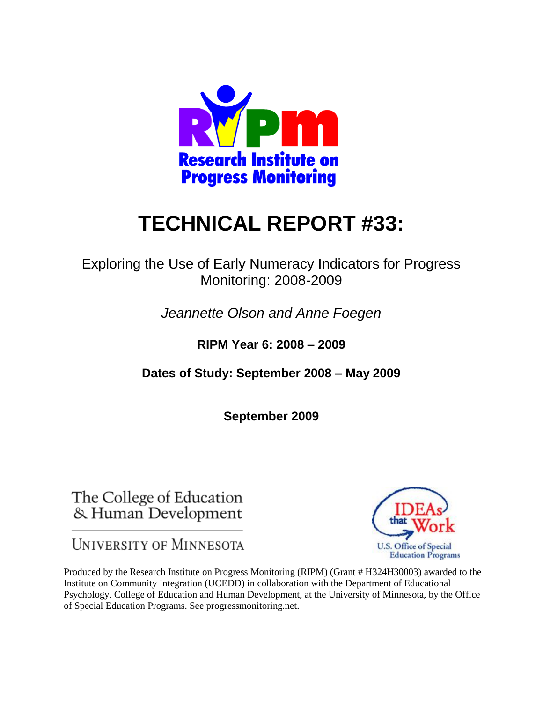

# **TECHNICAL REPORT #33:**

Exploring the Use of Early Numeracy Indicators for Progress Monitoring: 2008-2009

*Jeannette Olson and Anne Foegen*

**RIPM Year 6: 2008 – 2009** 

**Dates of Study: September 2008 – May 2009** 

**September 2009**

The College of Education & Human Development

**UNIVERSITY OF MINNESOTA** 



Produced by the Research Institute on Progress Monitoring (RIPM) (Grant # H324H30003) awarded to the Institute on Community Integration (UCEDD) in collaboration with the Department of Educational Psychology, College of Education and Human Development, at the University of Minnesota, by the Office of Special Education Programs. See progressmonitoring.net.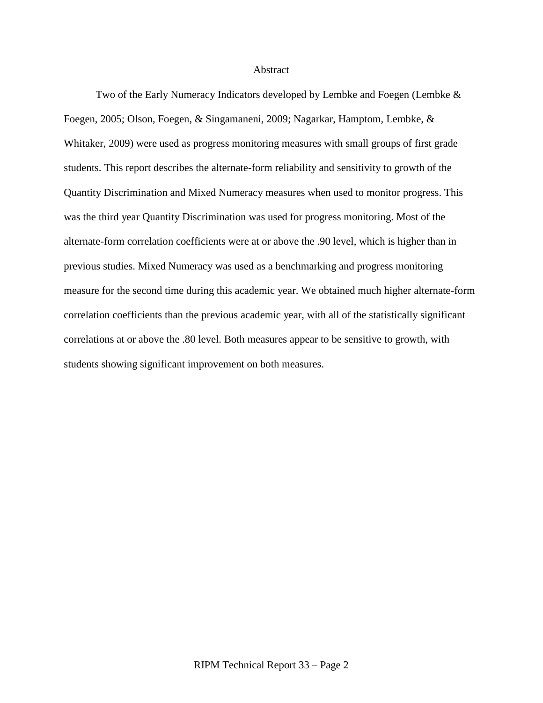#### Abstract

Two of the Early Numeracy Indicators developed by Lembke and Foegen (Lembke & Foegen, 2005; Olson, Foegen, & Singamaneni, 2009; Nagarkar, Hamptom, Lembke, & Whitaker, 2009) were used as progress monitoring measures with small groups of first grade students. This report describes the alternate-form reliability and sensitivity to growth of the Quantity Discrimination and Mixed Numeracy measures when used to monitor progress. This was the third year Quantity Discrimination was used for progress monitoring. Most of the alternate-form correlation coefficients were at or above the .90 level, which is higher than in previous studies. Mixed Numeracy was used as a benchmarking and progress monitoring measure for the second time during this academic year. We obtained much higher alternate-form correlation coefficients than the previous academic year, with all of the statistically significant correlations at or above the .80 level. Both measures appear to be sensitive to growth, with students showing significant improvement on both measures.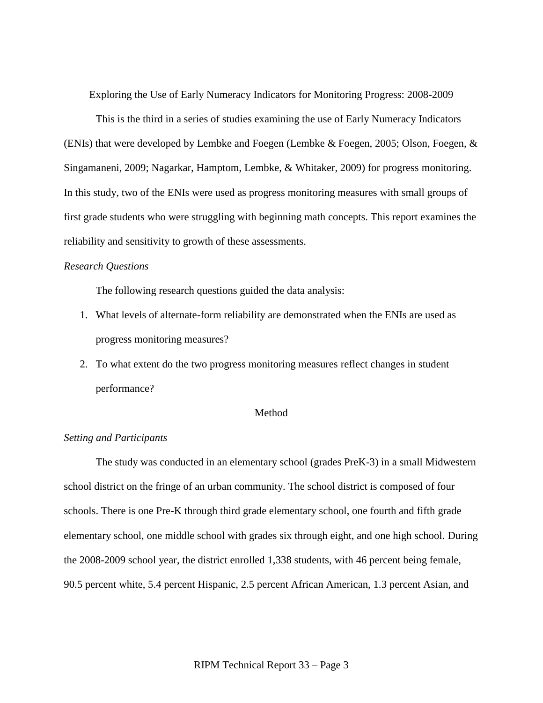Exploring the Use of Early Numeracy Indicators for Monitoring Progress: 2008-2009

This is the third in a series of studies examining the use of Early Numeracy Indicators (ENIs) that were developed by Lembke and Foegen (Lembke & Foegen, 2005; Olson, Foegen, & Singamaneni, 2009; Nagarkar, Hamptom, Lembke, & Whitaker, 2009) for progress monitoring. In this study, two of the ENIs were used as progress monitoring measures with small groups of first grade students who were struggling with beginning math concepts. This report examines the reliability and sensitivity to growth of these assessments.

#### *Research Questions*

The following research questions guided the data analysis:

- 1. What levels of alternate-form reliability are demonstrated when the ENIs are used as progress monitoring measures?
- 2. To what extent do the two progress monitoring measures reflect changes in student performance?

#### Method

#### *Setting and Participants*

The study was conducted in an elementary school (grades PreK-3) in a small Midwestern school district on the fringe of an urban community. The school district is composed of four schools. There is one Pre-K through third grade elementary school, one fourth and fifth grade elementary school, one middle school with grades six through eight, and one high school. During the 2008-2009 school year, the district enrolled 1,338 students, with 46 percent being female, 90.5 percent white, 5.4 percent Hispanic, 2.5 percent African American, 1.3 percent Asian, and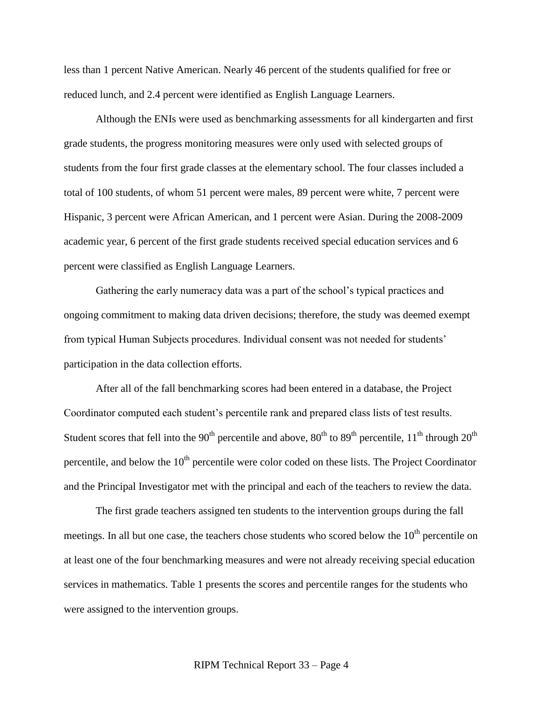less than 1 percent Native American. Nearly 46 percent of the students qualified for free or reduced lunch, and 2.4 percent were identified as English Language Learners.

Although the ENIs were used as benchmarking assessments for all kindergarten and first grade students, the progress monitoring measures were only used with selected groups of students from the four first grade classes at the elementary school. The four classes included a total of 100 students, of whom 51 percent were males, 89 percent were white, 7 percent were Hispanic, 3 percent were African American, and 1 percent were Asian. During the 2008-2009 academic year, 6 percent of the first grade students received special education services and 6 percent were classified as English Language Learners.

Gathering the early numeracy data was a part of the school's typical practices and ongoing commitment to making data driven decisions; therefore, the study was deemed exempt from typical Human Subjects procedures. Individual consent was not needed for students' participation in the data collection efforts.

After all of the fall benchmarking scores had been entered in a database, the Project Coordinator computed each student's percentile rank and prepared class lists of test results. Student scores that fell into the 90<sup>th</sup> percentile and above, 80<sup>th</sup> to 89<sup>th</sup> percentile, 11<sup>th</sup> through 20<sup>th</sup> percentile, and below the  $10<sup>th</sup>$  percentile were color coded on these lists. The Project Coordinator and the Principal Investigator met with the principal and each of the teachers to review the data.

The first grade teachers assigned ten students to the intervention groups during the fall meetings. In all but one case, the teachers chose students who scored below the  $10<sup>th</sup>$  percentile on at least one of the four benchmarking measures and were not already receiving special education services in mathematics. Table 1 presents the scores and percentile ranges for the students who were assigned to the intervention groups.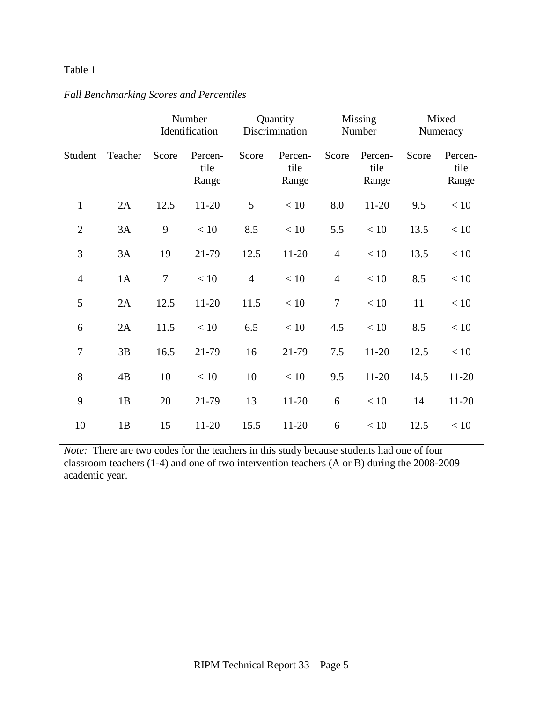## *Fall Benchmarking Scores and Percentiles*

|                |         |                | Number<br>Identification |                | Quantity<br>Discrimination |                | Missing<br><b>Number</b> |       | Mixed<br><b>Numeracy</b> |
|----------------|---------|----------------|--------------------------|----------------|----------------------------|----------------|--------------------------|-------|--------------------------|
| Student        | Teacher | Score          | Percen-<br>tile<br>Range | Score          | Percen-<br>tile<br>Range   | Score          | Percen-<br>tile<br>Range | Score | Percen-<br>tile<br>Range |
| $\mathbf{1}$   | 2A      | 12.5           | $11-20$                  | 5              | < 10                       | 8.0            | $11 - 20$                | 9.5   | < 10                     |
| $\mathfrak{2}$ | 3A      | 9              | < 10                     | 8.5            | < 10                       | 5.5            | < 10                     | 13.5  | < 10                     |
| 3              | 3A      | 19             | 21-79                    | 12.5           | $11-20$                    | $\overline{4}$ | < 10                     | 13.5  | < 10                     |
| $\overline{4}$ | 1A      | $\overline{7}$ | < 10                     | $\overline{4}$ | < 10                       | $\overline{4}$ | < 10                     | 8.5   | < 10                     |
| 5              | 2A      | 12.5           | $11-20$                  | 11.5           | < 10                       | $\tau$         | < 10                     | 11    | < 10                     |
| 6              | 2A      | 11.5           | $<10\,$                  | 6.5            | < 10                       | 4.5            | $<10$                    | 8.5   | < 10                     |
| 7              | 3B      | 16.5           | 21-79                    | 16             | 21-79                      | 7.5            | $11 - 20$                | 12.5  | < 10                     |
| 8              | 4B      | 10             | < 10                     | 10             | < 10                       | 9.5            | $11 - 20$                | 14.5  | 11-20                    |
| 9              | 1B      | 20             | 21-79                    | 13             | $11-20$                    | 6              | < 10                     | 14    | 11-20                    |
| 10             | 1B      | 15             | 11-20                    | 15.5           | 11-20                      | 6              | < 10                     | 12.5  | < 10                     |

*Note:* There are two codes for the teachers in this study because students had one of four classroom teachers (1-4) and one of two intervention teachers (A or B) during the 2008-2009 academic year.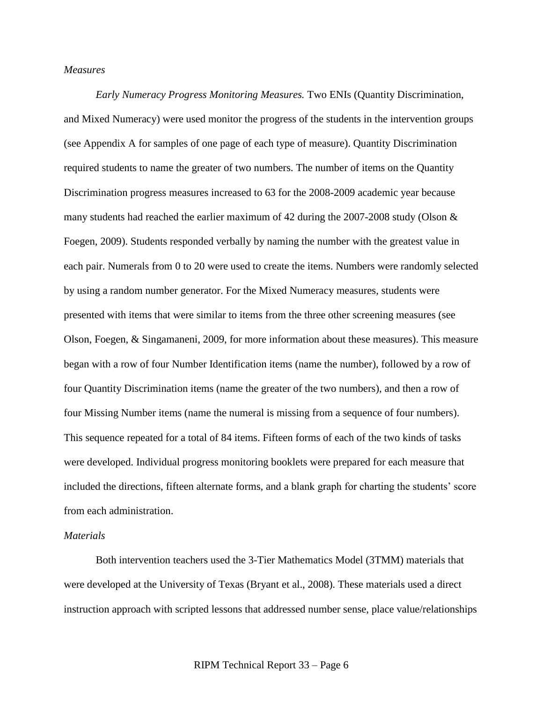#### *Measures*

*Early Numeracy Progress Monitoring Measures.* Two ENIs (Quantity Discrimination, and Mixed Numeracy) were used monitor the progress of the students in the intervention groups (see Appendix A for samples of one page of each type of measure). Quantity Discrimination required students to name the greater of two numbers. The number of items on the Quantity Discrimination progress measures increased to 63 for the 2008-2009 academic year because many students had reached the earlier maximum of 42 during the 2007-2008 study (Olson & Foegen, 2009). Students responded verbally by naming the number with the greatest value in each pair. Numerals from 0 to 20 were used to create the items. Numbers were randomly selected by using a random number generator. For the Mixed Numeracy measures, students were presented with items that were similar to items from the three other screening measures (see Olson, Foegen, & Singamaneni, 2009, for more information about these measures). This measure began with a row of four Number Identification items (name the number), followed by a row of four Quantity Discrimination items (name the greater of the two numbers), and then a row of four Missing Number items (name the numeral is missing from a sequence of four numbers). This sequence repeated for a total of 84 items. Fifteen forms of each of the two kinds of tasks were developed. Individual progress monitoring booklets were prepared for each measure that included the directions, fifteen alternate forms, and a blank graph for charting the students' score from each administration.

#### *Materials*

Both intervention teachers used the 3-Tier Mathematics Model (3TMM) materials that were developed at the University of Texas (Bryant et al., 2008). These materials used a direct instruction approach with scripted lessons that addressed number sense, place value/relationships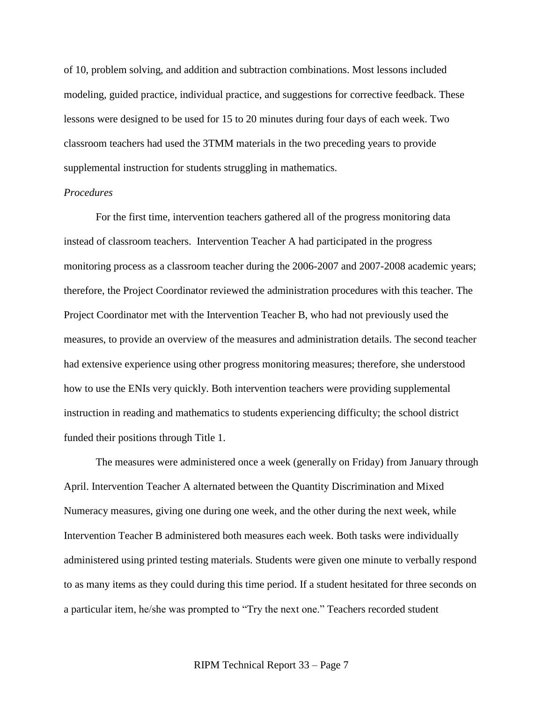of 10, problem solving, and addition and subtraction combinations. Most lessons included modeling, guided practice, individual practice, and suggestions for corrective feedback. These lessons were designed to be used for 15 to 20 minutes during four days of each week. Two classroom teachers had used the 3TMM materials in the two preceding years to provide supplemental instruction for students struggling in mathematics.

### *Procedures*

For the first time, intervention teachers gathered all of the progress monitoring data instead of classroom teachers. Intervention Teacher A had participated in the progress monitoring process as a classroom teacher during the 2006-2007 and 2007-2008 academic years; therefore, the Project Coordinator reviewed the administration procedures with this teacher. The Project Coordinator met with the Intervention Teacher B, who had not previously used the measures, to provide an overview of the measures and administration details. The second teacher had extensive experience using other progress monitoring measures; therefore, she understood how to use the ENIs very quickly. Both intervention teachers were providing supplemental instruction in reading and mathematics to students experiencing difficulty; the school district funded their positions through Title 1.

The measures were administered once a week (generally on Friday) from January through April. Intervention Teacher A alternated between the Quantity Discrimination and Mixed Numeracy measures, giving one during one week, and the other during the next week, while Intervention Teacher B administered both measures each week. Both tasks were individually administered using printed testing materials. Students were given one minute to verbally respond to as many items as they could during this time period. If a student hesitated for three seconds on a particular item, he/she was prompted to "Try the next one." Teachers recorded student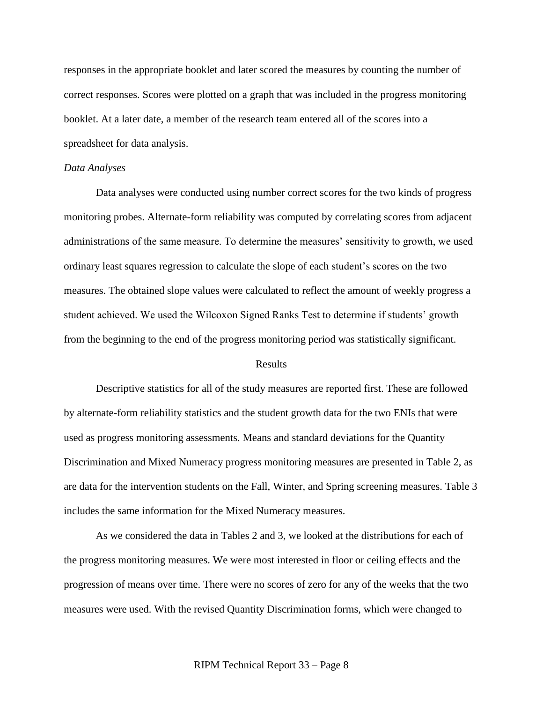responses in the appropriate booklet and later scored the measures by counting the number of correct responses. Scores were plotted on a graph that was included in the progress monitoring booklet. At a later date, a member of the research team entered all of the scores into a spreadsheet for data analysis.

#### *Data Analyses*

Data analyses were conducted using number correct scores for the two kinds of progress monitoring probes. Alternate-form reliability was computed by correlating scores from adjacent administrations of the same measure. To determine the measures' sensitivity to growth, we used ordinary least squares regression to calculate the slope of each student's scores on the two measures. The obtained slope values were calculated to reflect the amount of weekly progress a student achieved. We used the Wilcoxon Signed Ranks Test to determine if students' growth from the beginning to the end of the progress monitoring period was statistically significant.

#### **Results**

Descriptive statistics for all of the study measures are reported first. These are followed by alternate-form reliability statistics and the student growth data for the two ENIs that were used as progress monitoring assessments. Means and standard deviations for the Quantity Discrimination and Mixed Numeracy progress monitoring measures are presented in Table 2, as are data for the intervention students on the Fall, Winter, and Spring screening measures. Table 3 includes the same information for the Mixed Numeracy measures.

As we considered the data in Tables 2 and 3, we looked at the distributions for each of the progress monitoring measures. We were most interested in floor or ceiling effects and the progression of means over time. There were no scores of zero for any of the weeks that the two measures were used. With the revised Quantity Discrimination forms, which were changed to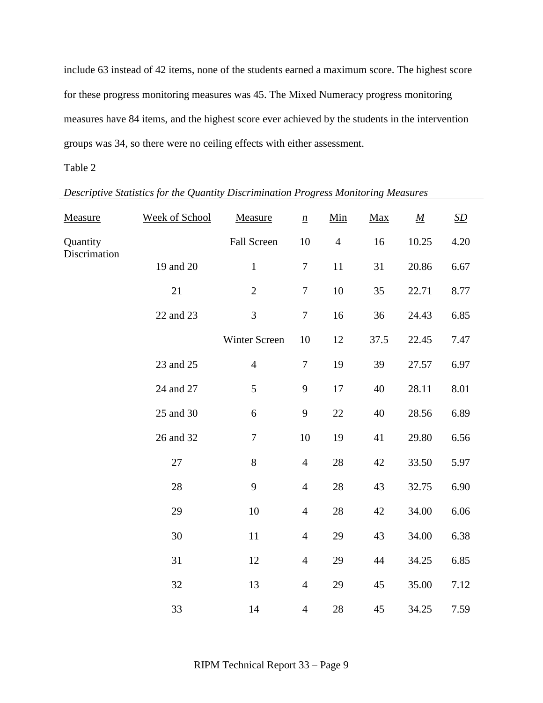include 63 instead of 42 items, none of the students earned a maximum score. The highest score for these progress monitoring measures was 45. The Mixed Numeracy progress monitoring measures have 84 items, and the highest score ever achieved by the students in the intervention groups was 34, so there were no ceiling effects with either assessment.

## Table 2

| Descriptive Statistics for the Quantity Discrimination Progress Monitoring Measures |  |
|-------------------------------------------------------------------------------------|--|
|-------------------------------------------------------------------------------------|--|

| Measure      | Week of School | Measure          | $\underline{n}$  | Min            | Max  | $\underline{M}$ | SD   |
|--------------|----------------|------------------|------------------|----------------|------|-----------------|------|
| Quantity     |                | Fall Screen      | 10               | $\overline{4}$ | 16   | 10.25           | 4.20 |
| Discrimation | 19 and 20      | $1\,$            | $\tau$           | 11             | 31   | 20.86           | 6.67 |
|              | 21             | $\sqrt{2}$       | $\tau$           | $10\,$         | 35   | 22.71           | 8.77 |
|              | 22 and 23      | 3                | $\boldsymbol{7}$ | 16             | 36   | 24.43           | 6.85 |
|              |                | Winter Screen    | 10               | 12             | 37.5 | 22.45           | 7.47 |
|              | 23 and 25      | $\overline{4}$   | $\boldsymbol{7}$ | 19             | 39   | 27.57           | 6.97 |
|              | 24 and 27      | 5                | 9                | 17             | 40   | 28.11           | 8.01 |
|              | 25 and 30      | 6                | $\mathbf{9}$     | $22\,$         | 40   | 28.56           | 6.89 |
|              | 26 and 32      | $\boldsymbol{7}$ | 10               | 19             | 41   | 29.80           | 6.56 |
|              | 27             | 8                | $\overline{4}$   | 28             | 42   | 33.50           | 5.97 |
|              | 28             | 9                | $\overline{4}$   | 28             | 43   | 32.75           | 6.90 |
|              | 29             | 10               | $\overline{4}$   | 28             | 42   | 34.00           | 6.06 |
|              | 30             | $11\,$           | $\overline{4}$   | 29             | 43   | 34.00           | 6.38 |
|              | 31             | 12               | $\overline{4}$   | 29             | 44   | 34.25           | 6.85 |
|              | 32             | 13               | $\overline{4}$   | 29             | 45   | 35.00           | 7.12 |
|              | 33             | 14               | $\overline{4}$   | 28             | 45   | 34.25           | 7.59 |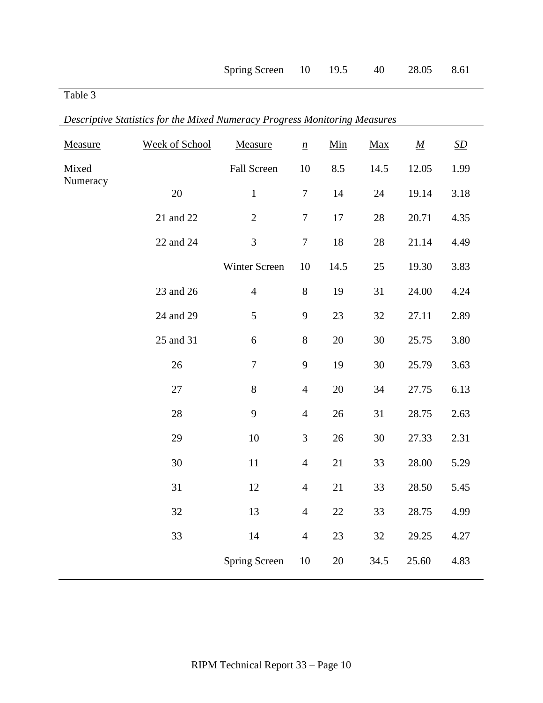| Measure  | Week of School | Measure          | $\underline{n}$  | Min    | Max  | $\underline{M}$ | SD   |
|----------|----------------|------------------|------------------|--------|------|-----------------|------|
| Mixed    |                | Fall Screen      | 10               | 8.5    | 14.5 | 12.05           | 1.99 |
| Numeracy | 20             | $\,1\,$          | $\tau$           | 14     | 24   | 19.14           | 3.18 |
|          | 21 and 22      | $\overline{2}$   | $\boldsymbol{7}$ | 17     | 28   | 20.71           | 4.35 |
|          | 22 and 24      | 3                | $\boldsymbol{7}$ | $18\,$ | 28   | 21.14           | 4.49 |
|          |                | Winter Screen    | 10               | 14.5   | 25   | 19.30           | 3.83 |
|          | 23 and 26      | $\overline{4}$   | 8                | 19     | 31   | 24.00           | 4.24 |
|          | 24 and 29      | 5                | 9                | 23     | 32   | 27.11           | 2.89 |
|          | 25 and 31      | $\boldsymbol{6}$ | $8\,$            | $20\,$ | 30   | 25.75           | 3.80 |
|          | 26             | $\overline{7}$   | 9                | 19     | 30   | 25.79           | 3.63 |
|          | 27             | $8\,$            | $\overline{4}$   | 20     | 34   | 27.75           | 6.13 |
|          | 28             | 9                | $\overline{4}$   | $26\,$ | 31   | 28.75           | 2.63 |
|          | 29             | 10               | $\mathfrak{Z}$   | 26     | 30   | 27.33           | 2.31 |
|          | 30             | $11\,$           | $\overline{4}$   | 21     | 33   | 28.00           | 5.29 |
|          | 31             | 12               | $\overline{4}$   | 21     | 33   | 28.50           | 5.45 |
|          | 32             | 13               | $\overline{4}$   | $22\,$ | 33   | 28.75           | 4.99 |
|          | 33             | 14               | $\overline{4}$   | 23     | 32   | 29.25           | 4.27 |
|          |                | Spring Screen    | 10               | 20     | 34.5 | 25.60           | 4.83 |

*Descriptive Statistics for the Mixed Numeracy Progress Monitoring Measures*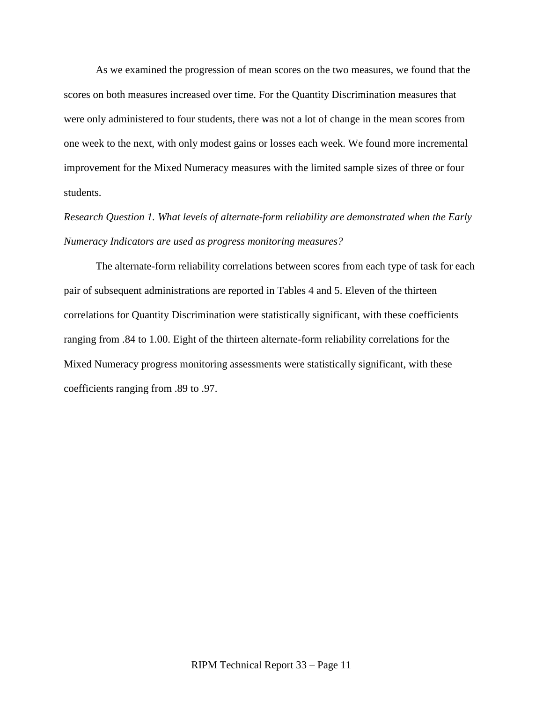As we examined the progression of mean scores on the two measures, we found that the scores on both measures increased over time. For the Quantity Discrimination measures that were only administered to four students, there was not a lot of change in the mean scores from one week to the next, with only modest gains or losses each week. We found more incremental improvement for the Mixed Numeracy measures with the limited sample sizes of three or four students.

*Research Question 1. What levels of alternate-form reliability are demonstrated when the Early Numeracy Indicators are used as progress monitoring measures?*

The alternate-form reliability correlations between scores from each type of task for each pair of subsequent administrations are reported in Tables 4 and 5. Eleven of the thirteen correlations for Quantity Discrimination were statistically significant, with these coefficients ranging from .84 to 1.00. Eight of the thirteen alternate-form reliability correlations for the Mixed Numeracy progress monitoring assessments were statistically significant, with these coefficients ranging from .89 to .97.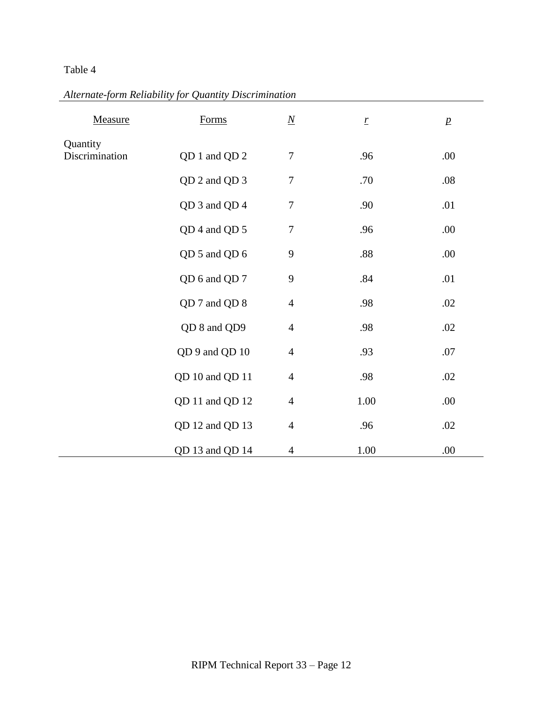# *Alternate-form Reliability for Quantity Discrimination*

| Measure                    | Forms           | $\underline{N}$  | $\underline{r}$ | $\ensuremath{p}$ |
|----------------------------|-----------------|------------------|-----------------|------------------|
| Quantity<br>Discrimination | QD 1 and QD 2   | $\tau$           | .96             | .00.             |
|                            | QD 2 and QD 3   | $\boldsymbol{7}$ | .70             | .08              |
|                            | QD 3 and QD 4   | $\boldsymbol{7}$ | .90             | .01              |
|                            | QD 4 and QD 5   | $\boldsymbol{7}$ | .96             | .00.             |
|                            | QD 5 and QD 6   | 9                | .88             | .00.             |
|                            | QD 6 and QD 7   | $\boldsymbol{9}$ | .84             | .01              |
|                            | QD 7 and QD 8   | $\overline{4}$   | .98             | .02              |
|                            | QD 8 and QD9    | $\overline{4}$   | .98             | .02              |
|                            | QD 9 and QD 10  | $\overline{4}$   | .93             | .07              |
|                            | QD 10 and QD 11 | $\overline{4}$   | .98             | .02              |
|                            | QD 11 and QD 12 | $\overline{4}$   | 1.00            | .00.             |
|                            | QD 12 and QD 13 | $\overline{4}$   | .96             | .02              |
|                            | QD 13 and QD 14 | $\overline{4}$   | 1.00            | .00              |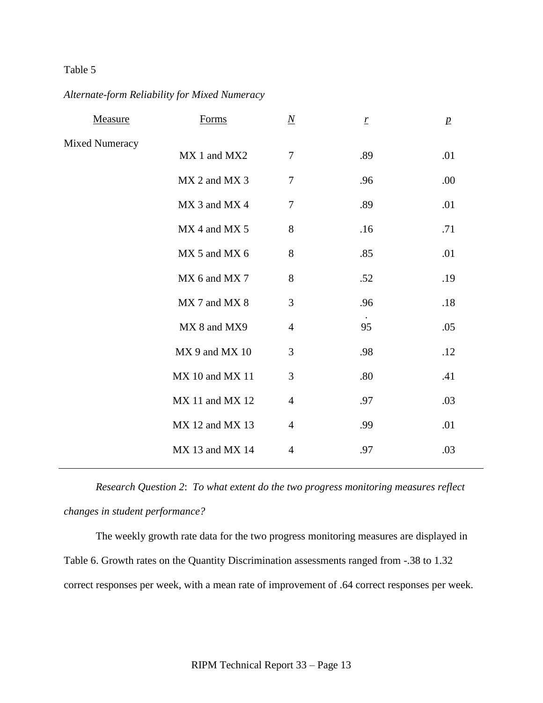## *Alternate-form Reliability for Mixed Numeracy*

| Measure               | Forms           | $\underline{N}$  | $\boldsymbol{r}$ | $\boldsymbol{p}$ |
|-----------------------|-----------------|------------------|------------------|------------------|
| <b>Mixed Numeracy</b> | MX 1 and MX2    | $\tau$           | .89              | .01              |
|                       | MX 2 and MX 3   | $\boldsymbol{7}$ | .96              | .00              |
|                       | MX 3 and MX 4   | $\boldsymbol{7}$ | .89              | .01              |
|                       | MX 4 and MX 5   | 8                | .16              | .71              |
|                       | MX 5 and MX 6   | 8                | .85              | .01              |
|                       | MX 6 and MX 7   | 8                | .52              | .19              |
|                       | MX 7 and MX 8   | 3                | .96              | .18              |
|                       | MX 8 and MX9    | $\overline{4}$   | 95               | .05              |
|                       | MX 9 and MX 10  | $\mathfrak{Z}$   | .98              | .12              |
|                       | MX 10 and MX 11 | 3                | .80              | .41              |
|                       | MX 11 and MX 12 | $\overline{4}$   | .97              | .03              |
|                       | MX 12 and MX 13 | $\overline{4}$   | .99              | .01              |
|                       | MX 13 and MX 14 | 4                | .97              | .03              |
|                       |                 |                  |                  |                  |

*Research Question 2*: *To what extent do the two progress monitoring measures reflect changes in student performance?*

The weekly growth rate data for the two progress monitoring measures are displayed in Table 6. Growth rates on the Quantity Discrimination assessments ranged from -.38 to 1.32 correct responses per week, with a mean rate of improvement of .64 correct responses per week.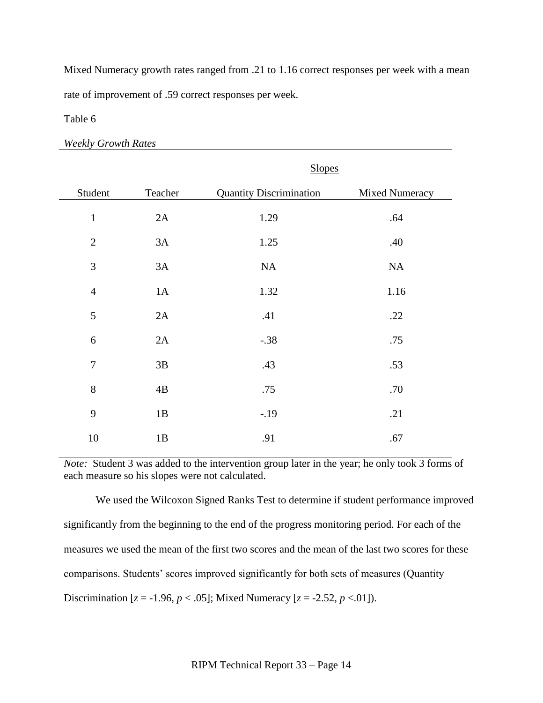Mixed Numeracy growth rates ranged from .21 to 1.16 correct responses per week with a mean rate of improvement of .59 correct responses per week.

Table 6

*Weekly Growth Rates*

|                |         | <b>Slopes</b>                  |                |  |
|----------------|---------|--------------------------------|----------------|--|
| Student        | Teacher | <b>Quantity Discrimination</b> | Mixed Numeracy |  |
| $\mathbf{1}$   | 2A      | 1.29                           | .64            |  |
| $\mathbf{2}$   | 3A      | 1.25                           | .40            |  |
| 3              | 3A      | NA                             | <b>NA</b>      |  |
| $\overline{4}$ | 1A      | 1.32                           | 1.16           |  |
| 5              | 2A      | .41                            | .22            |  |
| 6              | 2A      | $-.38$                         | .75            |  |
| $\overline{7}$ | 3B      | .43                            | .53            |  |
| 8              | 4B      | .75                            | .70            |  |
| 9              | 1B      | $-.19$                         | .21            |  |
| 10             | 1B      | .91                            | .67            |  |

*Note:* Student 3 was added to the intervention group later in the year; he only took 3 forms of each measure so his slopes were not calculated.

We used the Wilcoxon Signed Ranks Test to determine if student performance improved significantly from the beginning to the end of the progress monitoring period. For each of the measures we used the mean of the first two scores and the mean of the last two scores for these comparisons. Students' scores improved significantly for both sets of measures (Quantity Discrimination  $[z = -1.96, p < .05]$ ; Mixed Numeracy  $[z = -2.52, p < .01]$ ).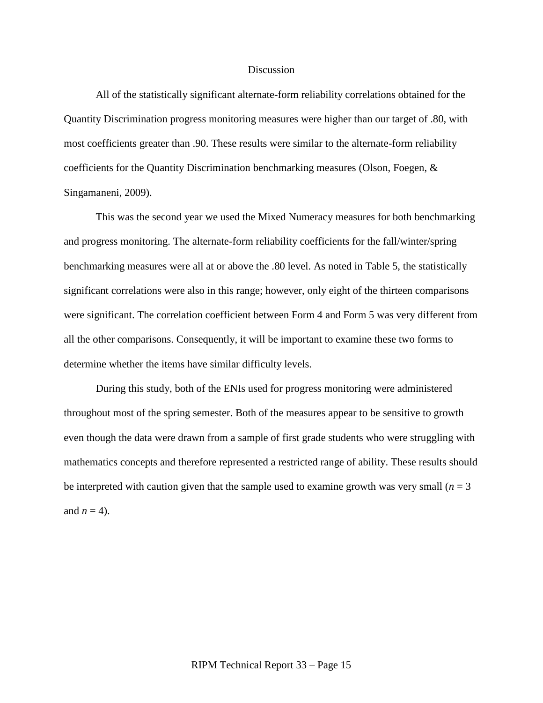#### Discussion

All of the statistically significant alternate-form reliability correlations obtained for the Quantity Discrimination progress monitoring measures were higher than our target of .80, with most coefficients greater than .90. These results were similar to the alternate-form reliability coefficients for the Quantity Discrimination benchmarking measures (Olson, Foegen, & Singamaneni, 2009).

This was the second year we used the Mixed Numeracy measures for both benchmarking and progress monitoring. The alternate-form reliability coefficients for the fall/winter/spring benchmarking measures were all at or above the .80 level. As noted in Table 5, the statistically significant correlations were also in this range; however, only eight of the thirteen comparisons were significant. The correlation coefficient between Form 4 and Form 5 was very different from all the other comparisons. Consequently, it will be important to examine these two forms to determine whether the items have similar difficulty levels.

During this study, both of the ENIs used for progress monitoring were administered throughout most of the spring semester. Both of the measures appear to be sensitive to growth even though the data were drawn from a sample of first grade students who were struggling with mathematics concepts and therefore represented a restricted range of ability. These results should be interpreted with caution given that the sample used to examine growth was very small  $(n = 3$ and  $n = 4$ ).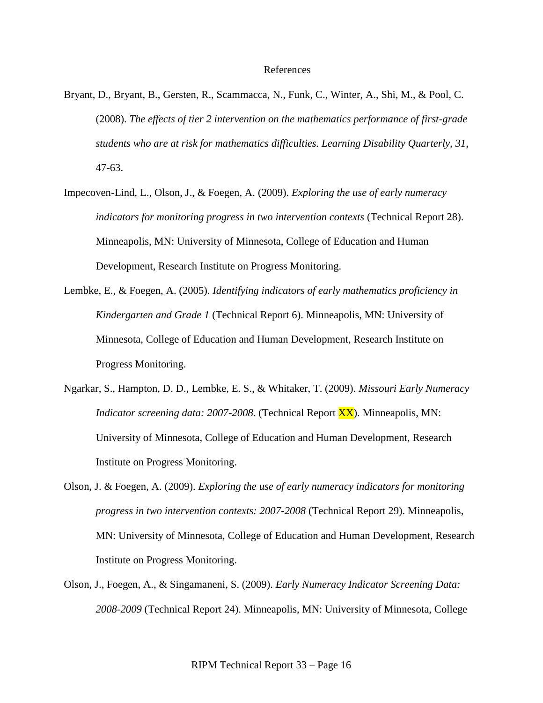#### References

- Bryant, D., Bryant, B., Gersten, R., Scammacca, N., Funk, C., Winter, A., Shi, M., & Pool, C. (2008). *The effects of tier 2 intervention on the mathematics performance of first-grade students who are at risk for mathematics difficulties. Learning Disability Quarterly, 31,*  47-63.
- Impecoven-Lind, L., Olson, J., & Foegen, A. (2009). *Exploring the use of early numeracy indicators for monitoring progress in two intervention contexts* (Technical Report 28). Minneapolis, MN: University of Minnesota, College of Education and Human Development, Research Institute on Progress Monitoring.
- Lembke, E., & Foegen, A. (2005). *Identifying indicators of early mathematics proficiency in Kindergarten and Grade 1* (Technical Report 6). Minneapolis, MN: University of Minnesota, College of Education and Human Development, Research Institute on Progress Monitoring.
- Ngarkar, S., Hampton, D. D., Lembke, E. S., & Whitaker, T. (2009). *Missouri Early Numeracy Indicator screening data: 2007-2008*. (Technical Report XX). Minneapolis, MN: University of Minnesota, College of Education and Human Development, Research Institute on Progress Monitoring.
- Olson, J. & Foegen, A. (2009). *Exploring the use of early numeracy indicators for monitoring progress in two intervention contexts: 2007-2008* (Technical Report 29). Minneapolis, MN: University of Minnesota, College of Education and Human Development, Research Institute on Progress Monitoring.
- Olson, J., Foegen, A., & Singamaneni, S. (2009). *Early Numeracy Indicator Screening Data: 2008-2009* (Technical Report 24). Minneapolis, MN: University of Minnesota, College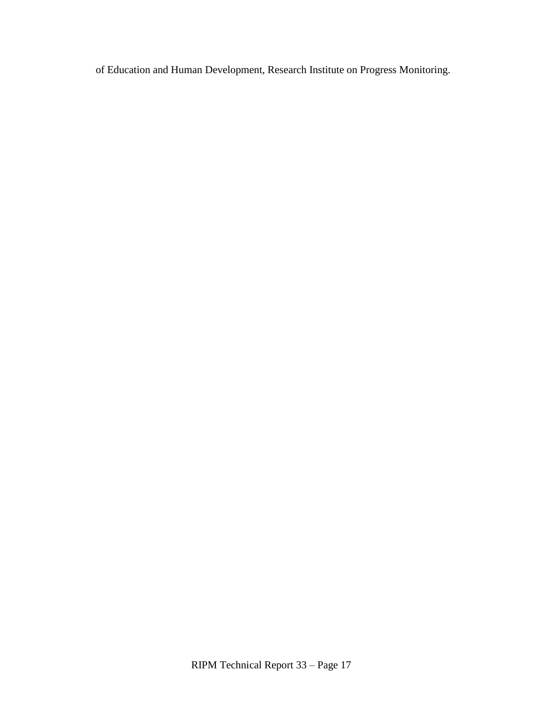of Education and Human Development, Research Institute on Progress Monitoring.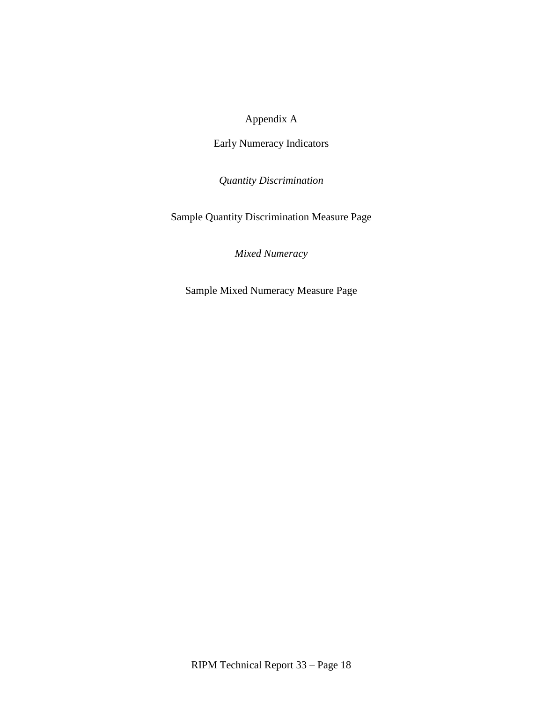# Appendix A

Early Numeracy Indicators

*Quantity Discrimination*

Sample Quantity Discrimination Measure Page

*Mixed Numeracy*

Sample Mixed Numeracy Measure Page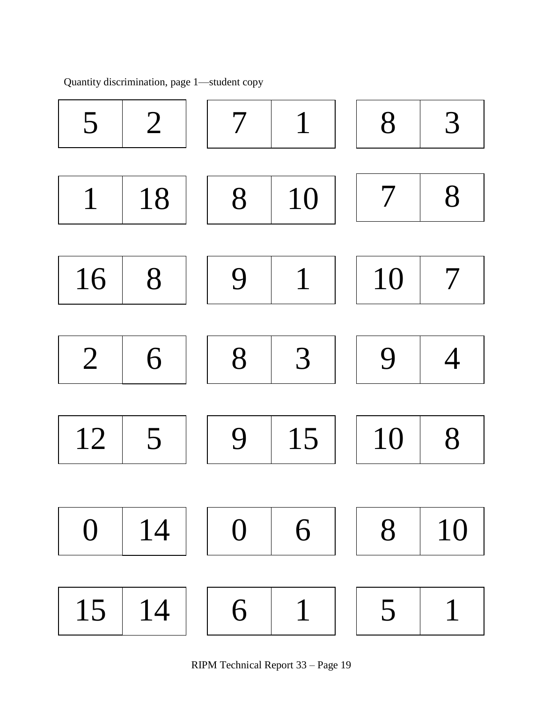

Quantity discrimination, page 1—student copy